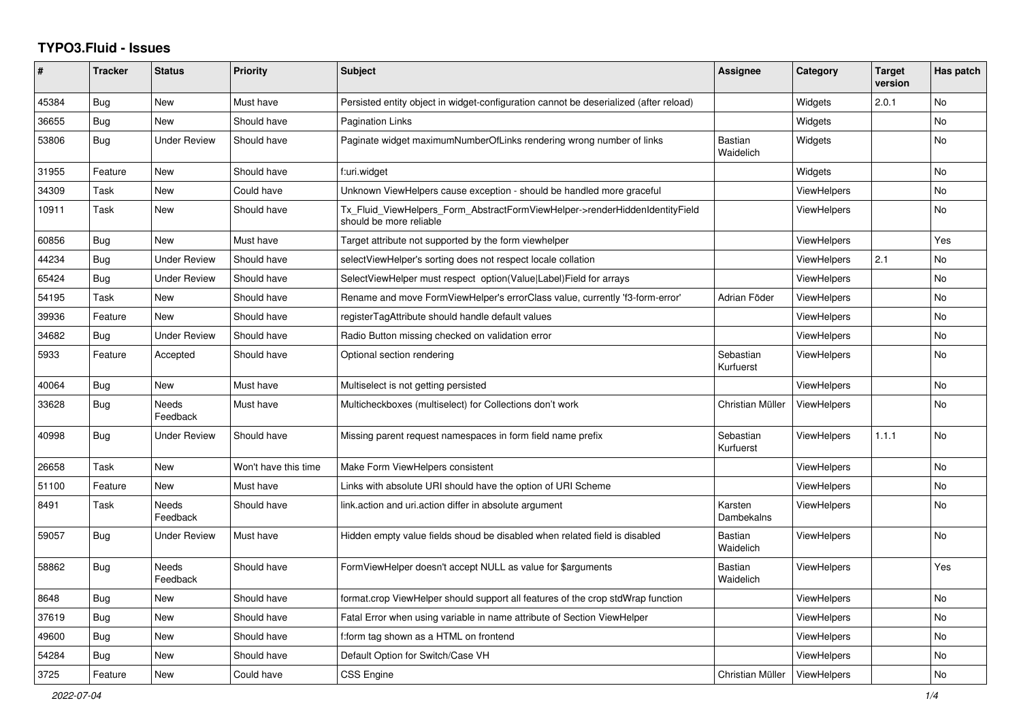## **TYPO3.Fluid - Issues**

| ∦     | <b>Tracker</b> | <b>Status</b>            | <b>Priority</b>      | <b>Subject</b>                                                                                         | Assignee                    | Category           | <b>Target</b><br>version | Has patch      |
|-------|----------------|--------------------------|----------------------|--------------------------------------------------------------------------------------------------------|-----------------------------|--------------------|--------------------------|----------------|
| 45384 | Bug            | New                      | Must have            | Persisted entity object in widget-configuration cannot be deserialized (after reload)                  |                             | Widgets            | 2.0.1                    | <b>No</b>      |
| 36655 | Bug            | New                      | Should have          | <b>Pagination Links</b>                                                                                |                             | Widgets            |                          | <b>No</b>      |
| 53806 | Bug            | Under Review             | Should have          | Paginate widget maximumNumberOfLinks rendering wrong number of links                                   | <b>Bastian</b><br>Waidelich | Widgets            |                          | No.            |
| 31955 | Feature        | New                      | Should have          | f:uri.widget                                                                                           |                             | Widgets            |                          | <b>No</b>      |
| 34309 | Task           | New                      | Could have           | Unknown ViewHelpers cause exception - should be handled more graceful                                  |                             | ViewHelpers        |                          | No             |
| 10911 | Task           | New                      | Should have          | Tx_Fluid_ViewHelpers_Form_AbstractFormViewHelper->renderHiddenIdentityField<br>should be more reliable |                             | ViewHelpers        |                          | <b>No</b>      |
| 60856 | <b>Bug</b>     | <b>New</b>               | Must have            | Target attribute not supported by the form viewhelper                                                  |                             | <b>ViewHelpers</b> |                          | Yes            |
| 44234 | <b>Bug</b>     | <b>Under Review</b>      | Should have          | selectViewHelper's sorting does not respect locale collation                                           |                             | <b>ViewHelpers</b> | 2.1                      | No             |
| 65424 | Bug            | Under Review             | Should have          | SelectViewHelper must respect option(Value Label)Field for arrays                                      |                             | ViewHelpers        |                          | <b>No</b>      |
| 54195 | Task           | New                      | Should have          | Rename and move FormViewHelper's errorClass value, currently 'f3-form-error'                           | Adrian Föder                | <b>ViewHelpers</b> |                          | No.            |
| 39936 | Feature        | <b>New</b>               | Should have          | registerTagAttribute should handle default values                                                      |                             | <b>ViewHelpers</b> |                          | <b>No</b>      |
| 34682 | Bug            | <b>Under Review</b>      | Should have          | Radio Button missing checked on validation error                                                       |                             | <b>ViewHelpers</b> |                          | <b>No</b>      |
| 5933  | Feature        | Accepted                 | Should have          | Optional section rendering                                                                             | Sebastian<br>Kurfuerst      | <b>ViewHelpers</b> |                          | <b>No</b>      |
| 40064 | <b>Bug</b>     | <b>New</b>               | Must have            | Multiselect is not getting persisted                                                                   |                             | <b>ViewHelpers</b> |                          | <b>No</b>      |
| 33628 | Bug            | Needs<br>Feedback        | Must have            | Multicheckboxes (multiselect) for Collections don't work                                               | Christian Müller            | <b>ViewHelpers</b> |                          | No.            |
| 40998 | Bug            | <b>Under Review</b>      | Should have          | Missing parent request namespaces in form field name prefix                                            | Sebastian<br>Kurfuerst      | ViewHelpers        | 1.1.1                    | <b>No</b>      |
| 26658 | Task           | New                      | Won't have this time | Make Form ViewHelpers consistent                                                                       |                             | <b>ViewHelpers</b> |                          | No             |
| 51100 | Feature        | New                      | Must have            | Links with absolute URI should have the option of URI Scheme                                           |                             | <b>ViewHelpers</b> |                          | <b>No</b>      |
| 8491  | Task           | <b>Needs</b><br>Feedback | Should have          | link.action and uri.action differ in absolute argument                                                 | Karsten<br>Dambekalns       | <b>ViewHelpers</b> |                          | <b>No</b>      |
| 59057 | Bug            | Under Review             | Must have            | Hidden empty value fields shoud be disabled when related field is disabled                             | Bastian<br>Waidelich        | <b>ViewHelpers</b> |                          | N <sub>o</sub> |
| 58862 | Bug            | <b>Needs</b><br>Feedback | Should have          | FormViewHelper doesn't accept NULL as value for \$arguments                                            | <b>Bastian</b><br>Waidelich | ViewHelpers        |                          | Yes            |
| 8648  | Bug            | New                      | Should have          | format.crop ViewHelper should support all features of the crop stdWrap function                        |                             | <b>ViewHelpers</b> |                          | <b>No</b>      |
| 37619 | Bug            | New                      | Should have          | Fatal Error when using variable in name attribute of Section ViewHelper                                |                             | ViewHelpers        |                          | <b>No</b>      |
| 49600 | Bug            | New                      | Should have          | f:form tag shown as a HTML on frontend                                                                 |                             | <b>ViewHelpers</b> |                          | No.            |
| 54284 | Bug            | New                      | Should have          | Default Option for Switch/Case VH                                                                      |                             | <b>ViewHelpers</b> |                          | <b>No</b>      |
| 3725  | Feature        | <b>New</b>               | Could have           | <b>CSS Engine</b>                                                                                      | Christian Müller            | ViewHelpers        |                          | <b>No</b>      |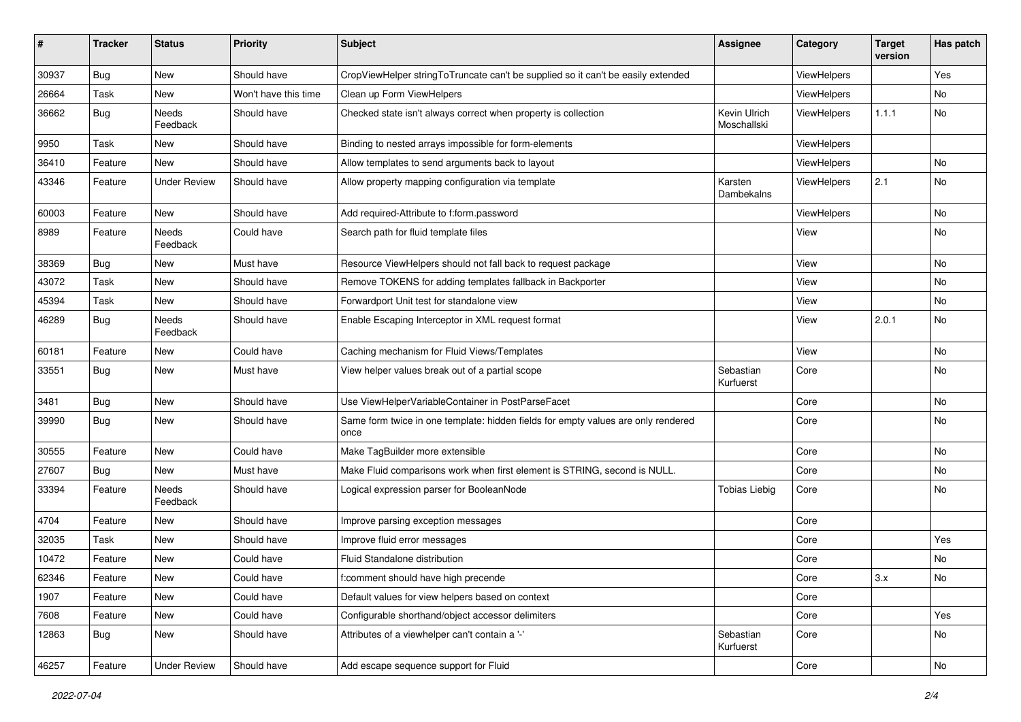| $\sharp$ | <b>Tracker</b> | <b>Status</b>       | <b>Priority</b>      | <b>Subject</b>                                                                            | <b>Assignee</b>             | Category    | <b>Target</b><br>version | Has patch |
|----------|----------------|---------------------|----------------------|-------------------------------------------------------------------------------------------|-----------------------------|-------------|--------------------------|-----------|
| 30937    | Bug            | New                 | Should have          | CropViewHelper stringToTruncate can't be supplied so it can't be easily extended          |                             | ViewHelpers |                          | Yes       |
| 26664    | Task           | New                 | Won't have this time | Clean up Form ViewHelpers                                                                 |                             | ViewHelpers |                          | No        |
| 36662    | Bug            | Needs<br>Feedback   | Should have          | Checked state isn't always correct when property is collection                            | Kevin Ulrich<br>Moschallski | ViewHelpers | 1.1.1                    | No        |
| 9950     | Task           | New                 | Should have          | Binding to nested arrays impossible for form-elements                                     |                             | ViewHelpers |                          |           |
| 36410    | Feature        | New                 | Should have          | Allow templates to send arguments back to layout                                          |                             | ViewHelpers |                          | No        |
| 43346    | Feature        | Under Review        | Should have          | Allow property mapping configuration via template                                         | Karsten<br>Dambekalns       | ViewHelpers | 2.1                      | No        |
| 60003    | Feature        | New                 | Should have          | Add required-Attribute to f:form.password                                                 |                             | ViewHelpers |                          | <b>No</b> |
| 8989     | Feature        | Needs<br>Feedback   | Could have           | Search path for fluid template files                                                      |                             | View        |                          | No        |
| 38369    | Bug            | New                 | Must have            | Resource ViewHelpers should not fall back to request package                              |                             | View        |                          | No        |
| 43072    | Task           | New                 | Should have          | Remove TOKENS for adding templates fallback in Backporter                                 |                             | View        |                          | No        |
| 45394    | Task           | New                 | Should have          | Forwardport Unit test for standalone view                                                 |                             | View        |                          | No        |
| 46289    | Bug            | Needs<br>Feedback   | Should have          | Enable Escaping Interceptor in XML request format                                         |                             | View        | 2.0.1                    | No        |
| 60181    | Feature        | New                 | Could have           | Caching mechanism for Fluid Views/Templates                                               |                             | View        |                          | No        |
| 33551    | Bug            | New                 | Must have            | View helper values break out of a partial scope                                           | Sebastian<br>Kurfuerst      | Core        |                          | No        |
| 3481     | Bug            | New                 | Should have          | Use ViewHelperVariableContainer in PostParseFacet                                         |                             | Core        |                          | No        |
| 39990    | Bug            | New                 | Should have          | Same form twice in one template: hidden fields for empty values are only rendered<br>once |                             | Core        |                          | No        |
| 30555    | Feature        | New                 | Could have           | Make TagBuilder more extensible                                                           |                             | Core        |                          | No        |
| 27607    | Bug            | New                 | Must have            | Make Fluid comparisons work when first element is STRING, second is NULL.                 |                             | Core        |                          | No        |
| 33394    | Feature        | Needs<br>Feedback   | Should have          | Logical expression parser for BooleanNode                                                 | <b>Tobias Liebig</b>        | Core        |                          | No        |
| 4704     | Feature        | New                 | Should have          | Improve parsing exception messages                                                        |                             | Core        |                          |           |
| 32035    | Task           | New                 | Should have          | Improve fluid error messages                                                              |                             | Core        |                          | Yes       |
| 10472    | Feature        | New                 | Could have           | Fluid Standalone distribution                                                             |                             | Core        |                          | No        |
| 62346    | Feature        | New                 | Could have           | f:comment should have high precende                                                       |                             | Core        | 3.x                      | No        |
| 1907     | Feature        | New                 | Could have           | Default values for view helpers based on context                                          |                             | Core        |                          |           |
| 7608     | Feature        | New                 | Could have           | Configurable shorthand/object accessor delimiters                                         |                             | Core        |                          | Yes       |
| 12863    | Bug            | New                 | Should have          | Attributes of a viewhelper can't contain a '-'                                            | Sebastian<br>Kurfuerst      | Core        |                          | No        |
| 46257    | Feature        | <b>Under Review</b> | Should have          | Add escape sequence support for Fluid                                                     |                             | Core        |                          | No        |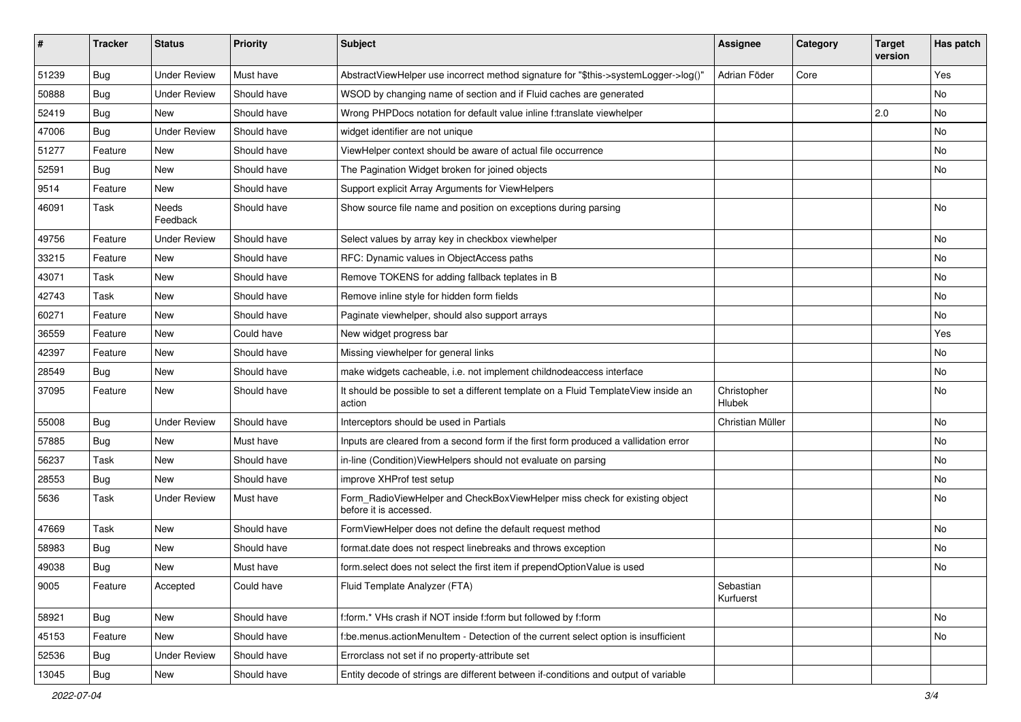| #     | <b>Tracker</b> | <b>Status</b>       | <b>Priority</b> | Subject                                                                                              | <b>Assignee</b>        | Category | <b>Target</b><br>version | Has patch |
|-------|----------------|---------------------|-----------------|------------------------------------------------------------------------------------------------------|------------------------|----------|--------------------------|-----------|
| 51239 | Bug            | <b>Under Review</b> | Must have       | AbstractViewHelper use incorrect method signature for "\$this->systemLogger->log()"                  | Adrian Föder           | Core     |                          | Yes       |
| 50888 | Bug            | <b>Under Review</b> | Should have     | WSOD by changing name of section and if Fluid caches are generated                                   |                        |          |                          | No        |
| 52419 | Bug            | New                 | Should have     | Wrong PHPDocs notation for default value inline f:translate viewhelper                               |                        |          | 2.0                      | No        |
| 47006 | Bug            | <b>Under Review</b> | Should have     | widget identifier are not unique                                                                     |                        |          |                          | <b>No</b> |
| 51277 | Feature        | New                 | Should have     | ViewHelper context should be aware of actual file occurrence                                         |                        |          |                          | No        |
| 52591 | Bug            | <b>New</b>          | Should have     | The Pagination Widget broken for joined objects                                                      |                        |          |                          | No        |
| 9514  | Feature        | New                 | Should have     | Support explicit Array Arguments for ViewHelpers                                                     |                        |          |                          |           |
| 46091 | Task           | Needs<br>Feedback   | Should have     | Show source file name and position on exceptions during parsing                                      |                        |          |                          | No        |
| 49756 | Feature        | <b>Under Review</b> | Should have     | Select values by array key in checkbox viewhelper                                                    |                        |          |                          | No        |
| 33215 | Feature        | New                 | Should have     | RFC: Dynamic values in ObjectAccess paths                                                            |                        |          |                          | No        |
| 43071 | Task           | New                 | Should have     | Remove TOKENS for adding fallback teplates in B                                                      |                        |          |                          | No        |
| 42743 | Task           | New                 | Should have     | Remove inline style for hidden form fields                                                           |                        |          |                          | No        |
| 60271 | Feature        | <b>New</b>          | Should have     | Paginate viewhelper, should also support arrays                                                      |                        |          |                          | <b>No</b> |
| 36559 | Feature        | New                 | Could have      | New widget progress bar                                                                              |                        |          |                          | Yes       |
| 42397 | Feature        | New                 | Should have     | Missing viewhelper for general links                                                                 |                        |          |                          | No        |
| 28549 | Bug            | New                 | Should have     | make widgets cacheable, i.e. not implement childnodeaccess interface                                 |                        |          |                          | No        |
| 37095 | Feature        | New                 | Should have     | It should be possible to set a different template on a Fluid TemplateView inside an<br>action        | Christopher<br>Hlubek  |          |                          | No        |
| 55008 | Bug            | <b>Under Review</b> | Should have     | Interceptors should be used in Partials                                                              | Christian Müller       |          |                          | No        |
| 57885 | Bug            | New                 | Must have       | Inputs are cleared from a second form if the first form produced a vallidation error                 |                        |          |                          | No        |
| 56237 | Task           | New                 | Should have     | in-line (Condition) ViewHelpers should not evaluate on parsing                                       |                        |          |                          | No        |
| 28553 | Bug            | New                 | Should have     | improve XHProf test setup                                                                            |                        |          |                          | No        |
| 5636  | Task           | Under Review        | Must have       | Form_RadioViewHelper and CheckBoxViewHelper miss check for existing object<br>before it is accessed. |                        |          |                          | No        |
| 47669 | Task           | New                 | Should have     | FormViewHelper does not define the default request method                                            |                        |          |                          | No        |
| 58983 | Bug            | New                 | Should have     | format.date does not respect linebreaks and throws exception                                         |                        |          |                          | <b>No</b> |
| 49038 | Bug            | New                 | Must have       | form.select does not select the first item if prependOptionValue is used                             |                        |          |                          | No        |
| 9005  | Feature        | Accepted            | Could have      | Fluid Template Analyzer (FTA)                                                                        | Sebastian<br>Kurfuerst |          |                          |           |
| 58921 | <b>Bug</b>     | New                 | Should have     | f:form.* VHs crash if NOT inside f:form but followed by f:form                                       |                        |          |                          | No        |
| 45153 | Feature        | New                 | Should have     | f:be.menus.actionMenuItem - Detection of the current select option is insufficient                   |                        |          |                          | No        |
| 52536 | <b>Bug</b>     | <b>Under Review</b> | Should have     | Errorclass not set if no property-attribute set                                                      |                        |          |                          |           |
| 13045 | <b>Bug</b>     | New                 | Should have     | Entity decode of strings are different between if-conditions and output of variable                  |                        |          |                          |           |